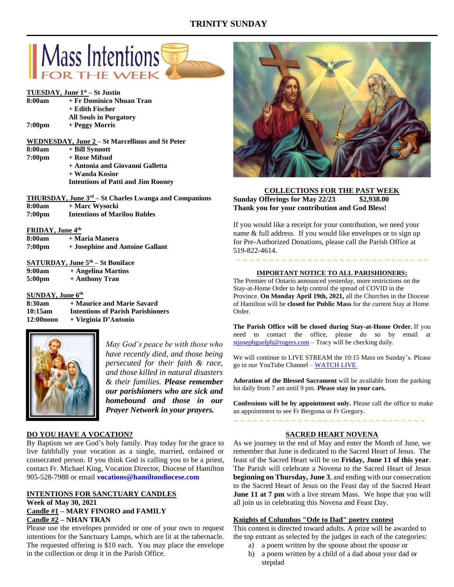# **TRINITY SUNDAY**



**+ Antonia and Giovanni Galletta + Wanda Kosior Intentions of Patti and Jim Rooney**

|                    | <b>THURSDAY, June 3<sup>rd</sup></b> – St Charles Lwanga and Companions |
|--------------------|-------------------------------------------------------------------------|
| 8:00am             | + Marc Wysocki                                                          |
| 7:00 <sub>pm</sub> | <b>Intentions of Marilou Robles</b>                                     |

#### **FRIDAY, June 4th**

| 8:00am             | + Maria Manera                  |
|--------------------|---------------------------------|
| 7:00 <sub>pm</sub> | + Josephine and Antoine Gallant |

|                    | SATURDAY, June $5th - St$ Boniface |
|--------------------|------------------------------------|
| 9:00am             | + Angelina Martins                 |
| 5:00 <sub>pm</sub> | + Anthony Tran                     |

#### **SUNDAY, June 6th**

| 8:30am     | + Maurice and Marie Savard               |
|------------|------------------------------------------|
| 10:15am    | <b>Intentions of Parish Parishioners</b> |
| 12:00 noon | + Virginia D'Antonio                     |



*May God's peace be with those who have recently died, and those being persecuted for their faith & race, and those killed in natural disasters & their families. Please remember our parishioners who are sick and homebound and those in our Prayer Network in your prayers.*

## **DO YOU HAVE A VOCATION?**

By Baptism we are God's holy family. Pray today for the grace to live faithfully your vocation as a single, married, ordained or consecrated person. If you think God is calling you to be a priest, contact Fr. Michael King, Vocation Director, Diocese of Hamilton 905-528-7988 or email **vocations@hamiltondiocese.com** 

#### **INTENTIONS FOR SANCTUARY CANDLES Week of May 30, 2021 Candle #1 – MARY FINORO and FAMILY Candle #2 – NHAN TRAN**

Please use the envelopes provided or one of your own to request intentions for the Sanctuary Lamps, which are lit at the tabernacle. The requested offering is \$10 each. You may place the envelope in the collection or drop it in the Parish Office.



### **COLLECTIONS FOR THE PAST WEEK Sunday Offerings for May 22/23 \$2,938.00 Thank you for your contribution and God Bless!**

If you would like a receipt for your contribution, we need your name & full address. If you would like envelopes or to sign up for Pre-Authorized Donations, please call the Parish Office at 519-822-4614.

# ~ ~ ~ ~ ~ ~ ~ ~ ~ ~ ~ ~ ~ ~ ~ ~ ~ ~ ~ ~ ~ ~ ~ ~ ~ ~ ~ ~ ~ ~ **IMPORTANT NOTICE TO ALL PARISHIONERS:**

The Premier of Ontario announced yesterday, more restrictions on the Stay-at-Home Order to help control the spread of COVID in the Province. **On Monday April 19th, 2021,** all the Churches in the Diocese of Hamilton will be **closed for Public Mass** for the current Stay at Home Order.

**The Parish Office will be closed during Stay-at-Home Order.** If you need to contact the office, please do so by email at [stjosephguelph@rogers.com](mailto:stjosephguelph@rogers.com) - Tracy will be checking daily.

We will continue to LIVE STREAM the 10:15 Mass on Sunday's. Please go to our YouTube Channel – [WATCH LIVE](https://www.youtube.com/channel/UCL59hxegD__FDJSdMDrt31w)

**Adoration of the Blessed Sacrament** will be available from the parking lot daily from 7 am until 9 pm. **Please stay in your cars.**

**Confessions will be by appointment only.** Please call the office to make an appointment to see Fr Bergsma or Fr Gregory.

# ~ ~ ~ ~ ~ ~ ~ ~ ~ ~ ~ ~ ~ ~ ~ ~ ~ ~ ~ ~ ~ ~ ~ ~ ~ ~ ~ ~ ~ ~

### **SACRED HEART NOVENA**

As we journey to the end of May and enter the Month of June, we remember that June is dedicated to the Sacred Heart of Jesus. The feast of the Sacred Heart will be on **Friday, June 11 of this year**. The Parish will celebrate a Novena to the Sacred Heart of Jesus **beginning on Thursday, June 3**, and ending with our consecration to the Sacred Heart of Jesus on the Feast day of the Sacred Heart **June 11 at 7 pm** with a live stream Mass. We hope that you will all join us in celebrating this Novena and Feast Day.

#### **Knights of Columbus "Ode to Dad" poetry contest**

This contest is directed toward adults. A prize will be awarded to the top entrant as selected by the judges in each of the categories:

- a) a poem written by the spouse about the spouse or
- b) a poem written by a child of a dad about your dad or stepdad